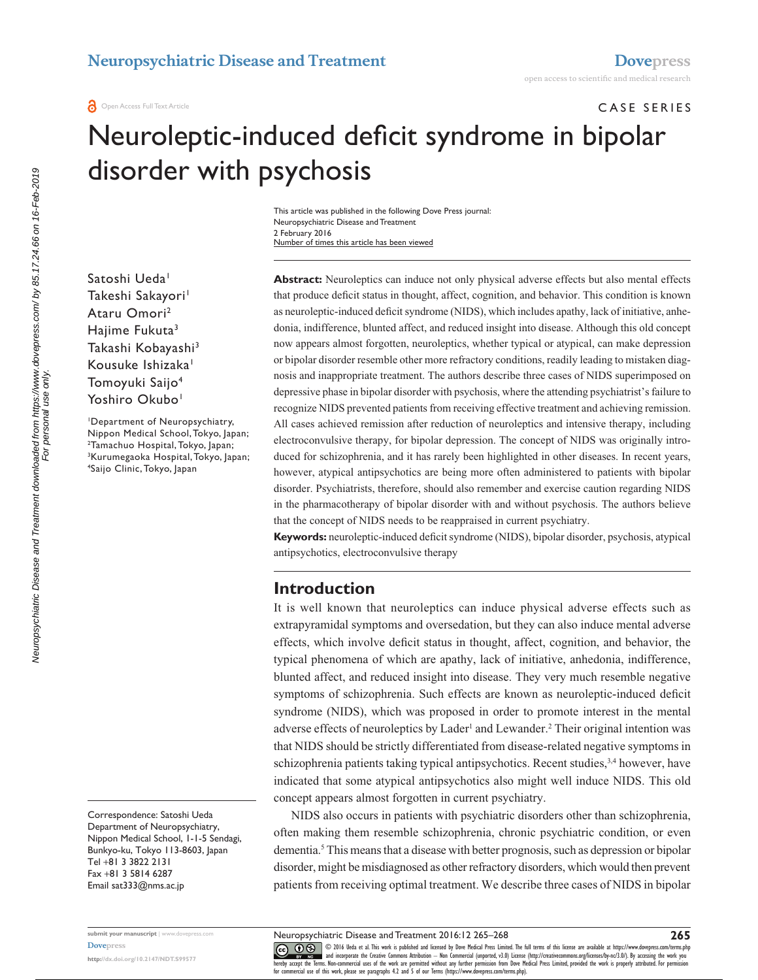CASE SERIES

# Neuroleptic-induced deficit syndrome in bipolar disorder with psychosis

Number of times this article has been viewed This article was published in the following Dove Press journal: Neuropsychiatric Disease and Treatment 2 February 2016

Satoshi Ueda<sup>1</sup> Takeshi Sakayori<sup>1</sup> Ataru Omori2 Haiime Fukuta<sup>3</sup> Takashi Kobayashi<sup>3</sup> Kousuke Ishizaka<sup>1</sup> Tomoyuki Saijo4 Yoshiro Okubo<sup>1</sup>

1 Department of Neuropsychiatry, Nippon Medical School, Tokyo, Japan; 2 <sup>2</sup>Tamachuo Hospital, Tokyo, Japan; 3 Kurumegaoka Hospital, Tokyo, Japan; 4 Saijo Clinic, Tokyo, Japan

Correspondence: Satoshi Ueda Department of Neuropsychiatry, Nippon Medical School, 1-1-5 Sendagi, Bunkyo-ku, Tokyo 113-8603, Japan Tel +81 3 3822 2131 Fax +81 3 5814 6287 Email [sat333@nms.ac.jp](mailto:sat333@nms.ac.jp)

**submit your manuscript** | <www.dovepress.com> **[Dovepress](www.dovepress.com) <http://dx.doi.org/10.2147/NDT.S99577>**

**Abstract:** Neuroleptics can induce not only physical adverse effects but also mental effects that produce deficit status in thought, affect, cognition, and behavior. This condition is known as neuroleptic-induced deficit syndrome (NIDS), which includes apathy, lack of initiative, anhedonia, indifference, blunted affect, and reduced insight into disease. Although this old concept now appears almost forgotten, neuroleptics, whether typical or atypical, can make depression or bipolar disorder resemble other more refractory conditions, readily leading to mistaken diagnosis and inappropriate treatment. The authors describe three cases of NIDS superimposed on depressive phase in bipolar disorder with psychosis, where the attending psychiatrist's failure to recognize NIDS prevented patients from receiving effective treatment and achieving remission. All cases achieved remission after reduction of neuroleptics and intensive therapy, including electroconvulsive therapy, for bipolar depression. The concept of NIDS was originally introduced for schizophrenia, and it has rarely been highlighted in other diseases. In recent years, however, atypical antipsychotics are being more often administered to patients with bipolar disorder. Psychiatrists, therefore, should also remember and exercise caution regarding NIDS in the pharmacotherapy of bipolar disorder with and without psychosis. The authors believe that the concept of NIDS needs to be reappraised in current psychiatry.

**Keywords:** neuroleptic-induced deficit syndrome (NIDS), bipolar disorder, psychosis, atypical antipsychotics, electroconvulsive therapy

## **Introduction**

It is well known that neuroleptics can induce physical adverse effects such as extrapyramidal symptoms and oversedation, but they can also induce mental adverse effects, which involve deficit status in thought, affect, cognition, and behavior, the typical phenomena of which are apathy, lack of initiative, anhedonia, indifference, blunted affect, and reduced insight into disease. They very much resemble negative symptoms of schizophrenia. Such effects are known as neuroleptic-induced deficit syndrome (NIDS), which was proposed in order to promote interest in the mental adverse effects of neuroleptics by Lader<sup>1</sup> and Lewander.<sup>2</sup> Their original intention was that NIDS should be strictly differentiated from disease-related negative symptoms in schizophrenia patients taking typical antipsychotics. Recent studies, $3,4$  however, have indicated that some atypical antipsychotics also might well induce NIDS. This old concept appears almost forgotten in current psychiatry.

NIDS also occurs in patients with psychiatric disorders other than schizophrenia, often making them resemble schizophrenia, chronic psychiatric condition, or even dementia.5 This means that a disease with better prognosis, such as depression or bipolar disorder, might be misdiagnosed as other refractory disorders, which would then prevent patients from receiving optimal treatment. We describe three cases of NIDS in bipolar

For personal use only.

Neuropsychiatric Disease and Treatment 2016:12 265–268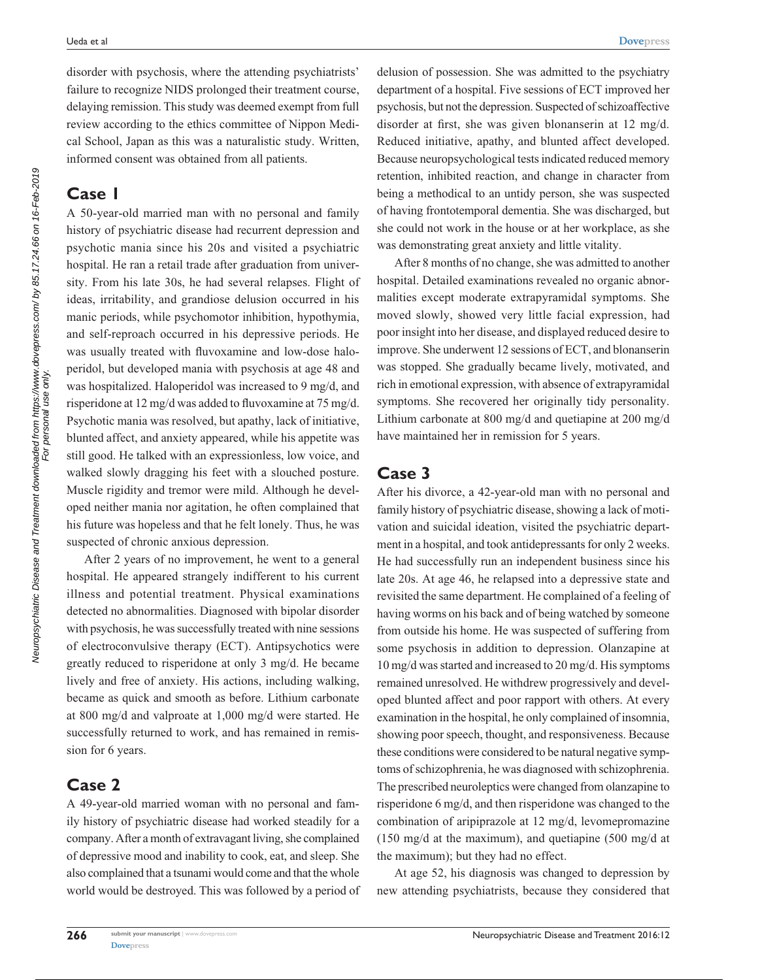disorder with psychosis, where the attending psychiatrists' failure to recognize NIDS prolonged their treatment course, delaying remission. This study was deemed exempt from full review according to the ethics committee of Nippon Medical School, Japan as this was a naturalistic study. Written, informed consent was obtained from all patients.

### **Case 1**

A 50-year-old married man with no personal and family history of psychiatric disease had recurrent depression and psychotic mania since his 20s and visited a psychiatric hospital. He ran a retail trade after graduation from university. From his late 30s, he had several relapses. Flight of ideas, irritability, and grandiose delusion occurred in his manic periods, while psychomotor inhibition, hypothymia, and self-reproach occurred in his depressive periods. He was usually treated with fluvoxamine and low-dose haloperidol, but developed mania with psychosis at age 48 and was hospitalized. Haloperidol was increased to 9 mg/d, and risperidone at 12 mg/d was added to fluvoxamine at 75 mg/d. Psychotic mania was resolved, but apathy, lack of initiative, blunted affect, and anxiety appeared, while his appetite was still good. He talked with an expressionless, low voice, and walked slowly dragging his feet with a slouched posture. Muscle rigidity and tremor were mild. Although he developed neither mania nor agitation, he often complained that his future was hopeless and that he felt lonely. Thus, he was suspected of chronic anxious depression.

After 2 years of no improvement, he went to a general hospital. He appeared strangely indifferent to his current illness and potential treatment. Physical examinations detected no abnormalities. Diagnosed with bipolar disorder with psychosis, he was successfully treated with nine sessions of electroconvulsive therapy (ECT). Antipsychotics were greatly reduced to risperidone at only 3 mg/d. He became lively and free of anxiety. His actions, including walking, became as quick and smooth as before. Lithium carbonate at 800 mg/d and valproate at 1,000 mg/d were started. He successfully returned to work, and has remained in remission for 6 years.

# **Case 2**

A 49-year-old married woman with no personal and family history of psychiatric disease had worked steadily for a company. After a month of extravagant living, she complained of depressive mood and inability to cook, eat, and sleep. She also complained that a tsunami would come and that the whole world would be destroyed. This was followed by a period of delusion of possession. She was admitted to the psychiatry department of a hospital. Five sessions of ECT improved her psychosis, but not the depression. Suspected of schizoaffective disorder at first, she was given blonanserin at 12 mg/d. Reduced initiative, apathy, and blunted affect developed. Because neuropsychological tests indicated reduced memory retention, inhibited reaction, and change in character from being a methodical to an untidy person, she was suspected of having frontotemporal dementia. She was discharged, but she could not work in the house or at her workplace, as she was demonstrating great anxiety and little vitality.

After 8 months of no change, she was admitted to another hospital. Detailed examinations revealed no organic abnormalities except moderate extrapyramidal symptoms. She moved slowly, showed very little facial expression, had poor insight into her disease, and displayed reduced desire to improve. She underwent 12 sessions of ECT, and blonanserin was stopped. She gradually became lively, motivated, and rich in emotional expression, with absence of extrapyramidal symptoms. She recovered her originally tidy personality. Lithium carbonate at 800 mg/d and quetiapine at 200 mg/d have maintained her in remission for 5 years.

#### **Case 3**

After his divorce, a 42-year-old man with no personal and family history of psychiatric disease, showing a lack of motivation and suicidal ideation, visited the psychiatric department in a hospital, and took antidepressants for only 2 weeks. He had successfully run an independent business since his late 20s. At age 46, he relapsed into a depressive state and revisited the same department. He complained of a feeling of having worms on his back and of being watched by someone from outside his home. He was suspected of suffering from some psychosis in addition to depression. Olanzapine at 10 mg/d was started and increased to 20 mg/d. His symptoms remained unresolved. He withdrew progressively and developed blunted affect and poor rapport with others. At every examination in the hospital, he only complained of insomnia, showing poor speech, thought, and responsiveness. Because these conditions were considered to be natural negative symptoms of schizophrenia, he was diagnosed with schizophrenia. The prescribed neuroleptics were changed from olanzapine to risperidone 6 mg/d, and then risperidone was changed to the combination of aripiprazole at 12 mg/d, levomepromazine (150 mg/d at the maximum), and quetiapine (500 mg/d at the maximum); but they had no effect.

At age 52, his diagnosis was changed to depression by new attending psychiatrists, because they considered that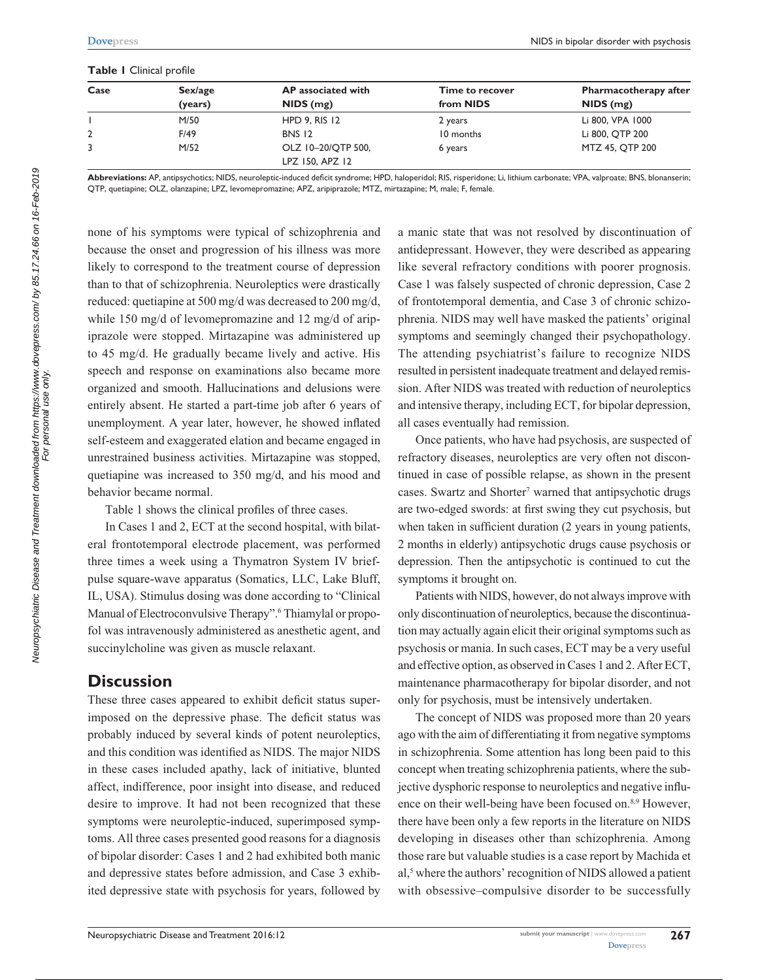#### **Table 1** Clinical profile

| Case | Sex/age<br>(years) | AP associated with<br>$NIDS$ (mg)     | <b>Time to recover</b><br>from NIDS | <b>Pharmacotherapy after</b><br>$NIDS$ (mg) |
|------|--------------------|---------------------------------------|-------------------------------------|---------------------------------------------|
|      |                    |                                       |                                     |                                             |
|      | F/49               | <b>BNS 12</b>                         | 10 months                           | Li 800, QTP 200                             |
|      | M/52               | OLZ 10-20/OTP 500,<br>LPZ 150, APZ 12 | 6 years                             | MTZ 45, QTP 200                             |

**Abbreviations:** AP, antipsychotics; NIDS, neuroleptic-induced deficit syndrome; HPD, haloperidol; RIS, risperidone; Li, lithium carbonate; VPA, valproate; BNS, blonanserin; QTP, quetiapine; OLZ, olanzapine; LPZ, levomepromazine; APZ, aripiprazole; MTZ, mirtazapine; M, male; F, female.

none of his symptoms were typical of schizophrenia and because the onset and progression of his illness was more likely to correspond to the treatment course of depression than to that of schizophrenia. Neuroleptics were drastically reduced: quetiapine at 500 mg/d was decreased to 200 mg/d, while 150 mg/d of levomepromazine and 12 mg/d of aripiprazole were stopped. Mirtazapine was administered up to 45 mg/d. He gradually became lively and active. His speech and response on examinations also became more organized and smooth. Hallucinations and delusions were entirely absent. He started a part-time job after 6 years of unemployment. A year later, however, he showed inflated self-esteem and exaggerated elation and became engaged in unrestrained business activities. Mirtazapine was stopped, quetiapine was increased to 350 mg/d, and his mood and behavior became normal.

Table 1 shows the clinical profiles of three cases.

In Cases 1 and 2, ECT at the second hospital, with bilateral frontotemporal electrode placement, was performed three times a week using a Thymatron System IV briefpulse square-wave apparatus (Somatics, LLC, Lake Bluff, IL, USA). Stimulus dosing was done according to "Clinical Manual of Electroconvulsive Therapy".<sup>6</sup> Thiamylal or propofol was intravenously administered as anesthetic agent, and succinylcholine was given as muscle relaxant.

## **Discussion**

These three cases appeared to exhibit deficit status superimposed on the depressive phase. The deficit status was probably induced by several kinds of potent neuroleptics, and this condition was identified as NIDS. The major NIDS in these cases included apathy, lack of initiative, blunted affect, indifference, poor insight into disease, and reduced desire to improve. It had not been recognized that these symptoms were neuroleptic-induced, superimposed symptoms. All three cases presented good reasons for a diagnosis of bipolar disorder: Cases 1 and 2 had exhibited both manic and depressive states before admission, and Case 3 exhibited depressive state with psychosis for years, followed by a manic state that was not resolved by discontinuation of antidepressant. However, they were described as appearing like several refractory conditions with poorer prognosis. Case 1 was falsely suspected of chronic depression, Case 2 of frontotemporal dementia, and Case 3 of chronic schizophrenia. NIDS may well have masked the patients' original symptoms and seemingly changed their psychopathology. The attending psychiatrist's failure to recognize NIDS resulted in persistent inadequate treatment and delayed remission. After NIDS was treated with reduction of neuroleptics and intensive therapy, including ECT, for bipolar depression, all cases eventually had remission.

Once patients, who have had psychosis, are suspected of refractory diseases, neuroleptics are very often not discontinued in case of possible relapse, as shown in the present cases. Swartz and Shorter<sup>7</sup> warned that antipsychotic drugs are two-edged swords: at first swing they cut psychosis, but when taken in sufficient duration (2 years in young patients, 2 months in elderly) antipsychotic drugs cause psychosis or depression. Then the antipsychotic is continued to cut the symptoms it brought on.

Patients with NIDS, however, do not always improve with only discontinuation of neuroleptics, because the discontinuation may actually again elicit their original symptoms such as psychosis or mania. In such cases, ECT may be a very useful and effective option, as observed in Cases 1 and 2. After ECT, maintenance pharmacotherapy for bipolar disorder, and not only for psychosis, must be intensively undertaken.

The concept of NIDS was proposed more than 20 years ago with the aim of differentiating it from negative symptoms in schizophrenia. Some attention has long been paid to this concept when treating schizophrenia patients, where the subjective dysphoric response to neuroleptics and negative influence on their well-being have been focused on.<sup>8,9</sup> However, there have been only a few reports in the literature on NIDS developing in diseases other than schizophrenia. Among those rare but valuable studies is a case report by Machida et al,<sup>5</sup> where the authors' recognition of NIDS allowed a patient with obsessive–compulsive disorder to be successfully